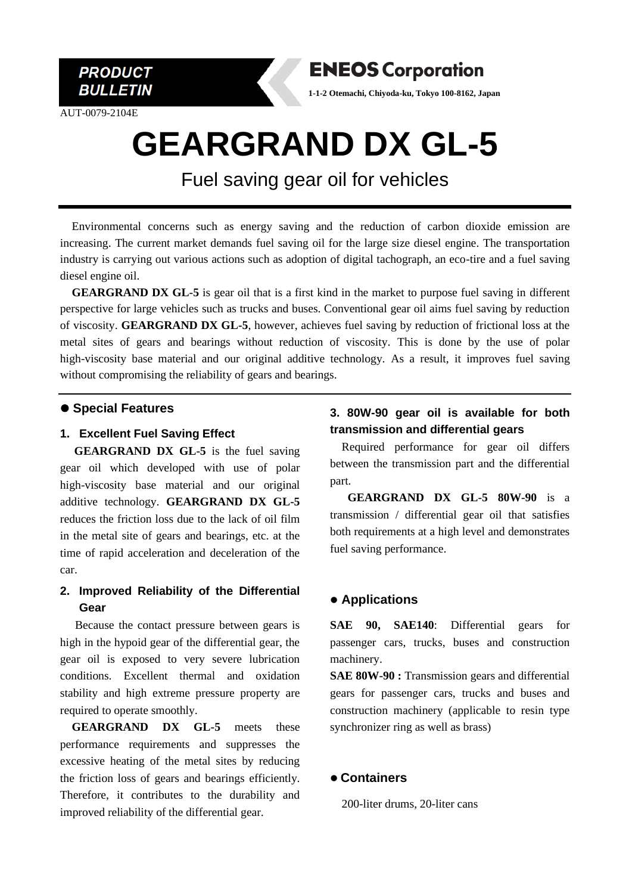

AUT-0079-2104E



**1-1-2 Otemachi, Chiyoda-ku, Tokyo 100-8162, Japan**

# **GEARGRAND DX GL-5**

## Fuel saving gear oil for vehicles

Environmental concerns such as energy saving and the reduction of carbon dioxide emission are increasing. The current market demands fuel saving oil for the large size diesel engine. The transportation industry is carrying out various actions such as adoption of digital tachograph, an eco-tire and a fuel saving diesel engine oil.

**GEARGRAND DX GL-5** is gear oil that is a first kind in the market to purpose fuel saving in different perspective for large vehicles such as trucks and buses. Conventional gear oil aims fuel saving by reduction of viscosity. **GEARGRAND DX GL-5**, however, achieves fuel saving by reduction of frictional loss at the metal sites of gears and bearings without reduction of viscosity. This is done by the use of polar high-viscosity base material and our original additive technology. As a result, it improves fuel saving without compromising the reliability of gears and bearings.

#### ⚫ **Special Features**

#### **1. Excellent Fuel Saving Effect**

**GEARGRAND DX GL-5** is the fuel saving gear oil which developed with use of polar high-viscosity base material and our original additive technology. **GEARGRAND DX GL-5** reduces the friction loss due to the lack of oil film in the metal site of gears and bearings, etc. at the time of rapid acceleration and deceleration of the car.

#### **2. Improved Reliability of the Differential Gear**

Because the contact pressure between gears is high in the hypoid gear of the differential gear, the gear oil is exposed to very severe lubrication conditions. Excellent thermal and oxidation stability and high extreme pressure property are required to operate smoothly.

**GEARGRAND DX GL-5** meets these performance requirements and suppresses the excessive heating of the metal sites by reducing the friction loss of gears and bearings efficiently. Therefore, it contributes to the durability and improved reliability of the differential gear.

#### **3. 80W-90 gear oil is available for both transmission and differential gears**

Required performance for gear oil differs between the transmission part and the differential part.

**GEARGRAND DX GL-5 80W-90** is a transmission / differential gear oil that satisfies both requirements at a high level and demonstrates fuel saving performance.

#### ⚫ **Applications**

**SAE 90, SAE140**: Differential gears for passenger cars, trucks, buses and construction machinery.

**SAE 80W-90 :** Transmission gears and differential gears for passenger cars, trucks and buses and construction machinery (applicable to resin type synchronizer ring as well as brass)

#### ⚫ **Containers**

200-liter drums, 20-liter cans